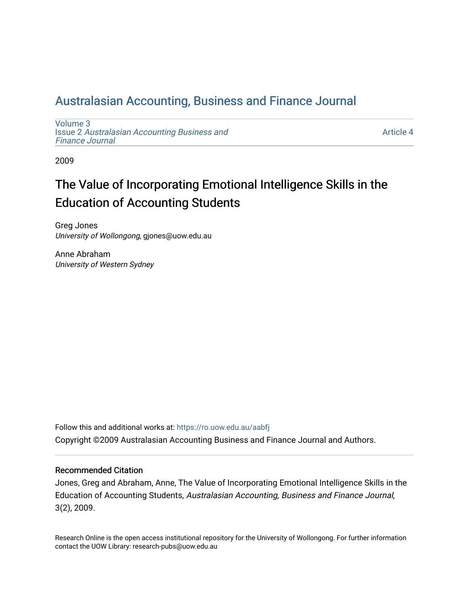## [Australasian Accounting, Business and Finance Journal](https://ro.uow.edu.au/aabfj)

[Volume 3](https://ro.uow.edu.au/aabfj/vol3) Issue 2 [Australasian Accounting Business and](https://ro.uow.edu.au/aabfj/vol3/iss2) [Finance Journal](https://ro.uow.edu.au/aabfj/vol3/iss2) 

[Article 4](https://ro.uow.edu.au/aabfj/vol3/iss2/4) 

2009

# The Value of Incorporating Emotional Intelligence Skills in the Education of Accounting Students

Greg Jones University of Wollongong, gjones@uow.edu.au

Anne Abraham University of Western Sydney

Follow this and additional works at: [https://ro.uow.edu.au/aabfj](https://ro.uow.edu.au/aabfj?utm_source=ro.uow.edu.au%2Faabfj%2Fvol3%2Fiss2%2F4&utm_medium=PDF&utm_campaign=PDFCoverPages) Copyright ©2009 Australasian Accounting Business and Finance Journal and Authors.

#### Recommended Citation

Jones, Greg and Abraham, Anne, The Value of Incorporating Emotional Intelligence Skills in the Education of Accounting Students, Australasian Accounting, Business and Finance Journal, 3(2), 2009.

Research Online is the open access institutional repository for the University of Wollongong. For further information contact the UOW Library: research-pubs@uow.edu.au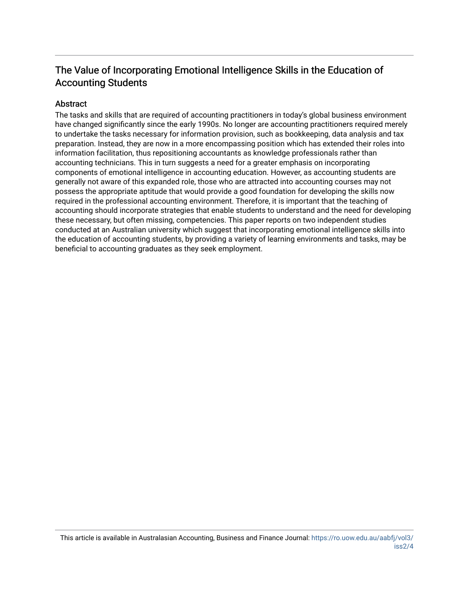## The Value of Incorporating Emotional Intelligence Skills in the Education of Accounting Students

#### **Abstract**

The tasks and skills that are required of accounting practitioners in today's global business environment have changed significantly since the early 1990s. No longer are accounting practitioners required merely to undertake the tasks necessary for information provision, such as bookkeeping, data analysis and tax preparation. Instead, they are now in a more encompassing position which has extended their roles into information facilitation, thus repositioning accountants as knowledge professionals rather than accounting technicians. This in turn suggests a need for a greater emphasis on incorporating components of emotional intelligence in accounting education. However, as accounting students are generally not aware of this expanded role, those who are attracted into accounting courses may not possess the appropriate aptitude that would provide a good foundation for developing the skills now required in the professional accounting environment. Therefore, it is important that the teaching of accounting should incorporate strategies that enable students to understand and the need for developing these necessary, but often missing, competencies. This paper reports on two independent studies conducted at an Australian university which suggest that incorporating emotional intelligence skills into the education of accounting students, by providing a variety of learning environments and tasks, may be beneficial to accounting graduates as they seek employment.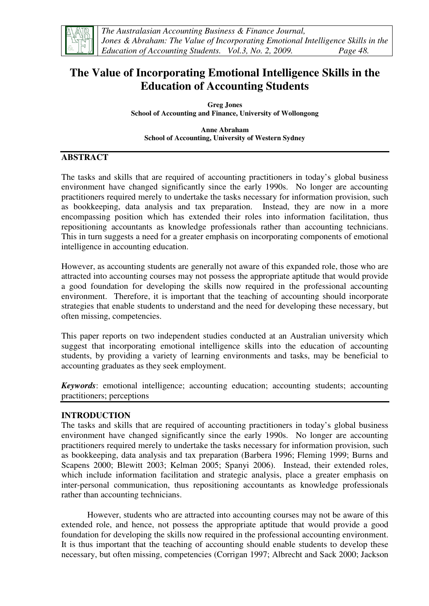

## **The Value of Incorporating Emotional Intelligence Skills in the Education of Accounting Students**

**Greg Jones School of Accounting and Finance, University of Wollongong** 

**Anne Abraham School of Accounting, University of Western Sydney** 

## **ABSTRACT**

The tasks and skills that are required of accounting practitioners in today's global business environment have changed significantly since the early 1990s. No longer are accounting practitioners required merely to undertake the tasks necessary for information provision, such as bookkeeping, data analysis and tax preparation. Instead, they are now in a more encompassing position which has extended their roles into information facilitation, thus repositioning accountants as knowledge professionals rather than accounting technicians. This in turn suggests a need for a greater emphasis on incorporating components of emotional intelligence in accounting education.

However, as accounting students are generally not aware of this expanded role, those who are attracted into accounting courses may not possess the appropriate aptitude that would provide a good foundation for developing the skills now required in the professional accounting environment. Therefore, it is important that the teaching of accounting should incorporate strategies that enable students to understand and the need for developing these necessary, but often missing, competencies.

This paper reports on two independent studies conducted at an Australian university which suggest that incorporating emotional intelligence skills into the education of accounting students, by providing a variety of learning environments and tasks, may be beneficial to accounting graduates as they seek employment.

*Keywords*: emotional intelligence; accounting education; accounting students; accounting practitioners; perceptions

## **INTRODUCTION**

The tasks and skills that are required of accounting practitioners in today's global business environment have changed significantly since the early 1990s. No longer are accounting practitioners required merely to undertake the tasks necessary for information provision, such as bookkeeping, data analysis and tax preparation (Barbera 1996; Fleming 1999; Burns and Scapens 2000; Blewitt 2003; Kelman 2005; Spanyi 2006). Instead, their extended roles, which include information facilitation and strategic analysis, place a greater emphasis on inter-personal communication, thus repositioning accountants as knowledge professionals rather than accounting technicians.

However, students who are attracted into accounting courses may not be aware of this extended role, and hence, not possess the appropriate aptitude that would provide a good foundation for developing the skills now required in the professional accounting environment. It is thus important that the teaching of accounting should enable students to develop these necessary, but often missing, competencies (Corrigan 1997; Albrecht and Sack 2000; Jackson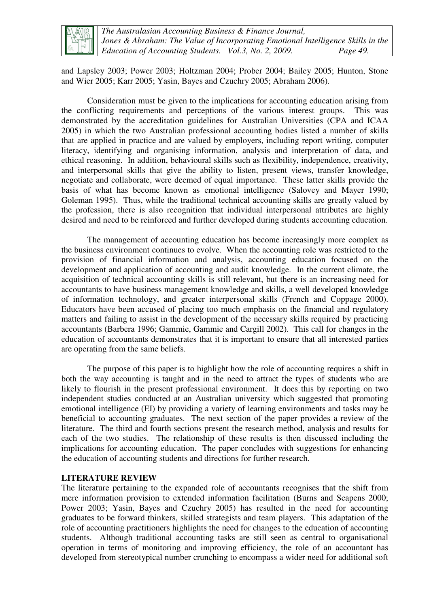

*The Australasian Accounting Business & Finance Journal, Jones & Abraham: The Value of Incorporating Emotional Intelligence Skills in the Education of Accounting Students. Vol.3, No. 2, 2009. Page 49.* 

and Lapsley 2003; Power 2003; Holtzman 2004; Prober 2004; Bailey 2005; Hunton, Stone and Wier 2005; Karr 2005; Yasin, Bayes and Czuchry 2005; Abraham 2006).

Consideration must be given to the implications for accounting education arising from the conflicting requirements and perceptions of the various interest groups. This was demonstrated by the accreditation guidelines for Australian Universities (CPA and ICAA 2005) in which the two Australian professional accounting bodies listed a number of skills that are applied in practice and are valued by employers, including report writing, computer literacy, identifying and organising information, analysis and interpretation of data, and ethical reasoning. In addition, behavioural skills such as flexibility, independence, creativity, and interpersonal skills that give the ability to listen, present views, transfer knowledge, negotiate and collaborate, were deemed of equal importance. These latter skills provide the basis of what has become known as emotional intelligence (Salovey and Mayer 1990; Goleman 1995). Thus, while the traditional technical accounting skills are greatly valued by the profession, there is also recognition that individual interpersonal attributes are highly desired and need to be reinforced and further developed during students accounting education.

The management of accounting education has become increasingly more complex as the business environment continues to evolve. When the accounting role was restricted to the provision of financial information and analysis, accounting education focused on the development and application of accounting and audit knowledge. In the current climate, the acquisition of technical accounting skills is still relevant, but there is an increasing need for accountants to have business management knowledge and skills, a well developed knowledge of information technology, and greater interpersonal skills (French and Coppage 2000). Educators have been accused of placing too much emphasis on the financial and regulatory matters and failing to assist in the development of the necessary skills required by practicing accountants (Barbera 1996; Gammie, Gammie and Cargill 2002). This call for changes in the education of accountants demonstrates that it is important to ensure that all interested parties are operating from the same beliefs.

The purpose of this paper is to highlight how the role of accounting requires a shift in both the way accounting is taught and in the need to attract the types of students who are likely to flourish in the present professional environment. It does this by reporting on two independent studies conducted at an Australian university which suggested that promoting emotional intelligence (EI) by providing a variety of learning environments and tasks may be beneficial to accounting graduates. The next section of the paper provides a review of the literature. The third and fourth sections present the research method, analysis and results for each of the two studies. The relationship of these results is then discussed including the implications for accounting education. The paper concludes with suggestions for enhancing the education of accounting students and directions for further research.

#### **LITERATURE REVIEW**

The literature pertaining to the expanded role of accountants recognises that the shift from mere information provision to extended information facilitation (Burns and Scapens 2000; Power 2003; Yasin, Bayes and Czuchry 2005) has resulted in the need for accounting graduates to be forward thinkers, skilled strategists and team players. This adaptation of the role of accounting practitioners highlights the need for changes to the education of accounting students. Although traditional accounting tasks are still seen as central to organisational operation in terms of monitoring and improving efficiency, the role of an accountant has developed from stereotypical number crunching to encompass a wider need for additional soft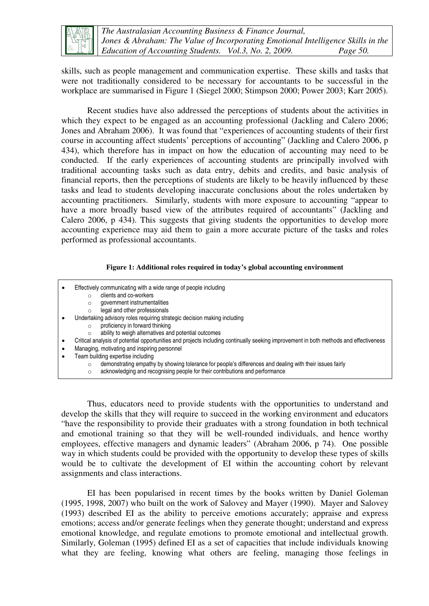

skills, such as people management and communication expertise. These skills and tasks that were not traditionally considered to be necessary for accountants to be successful in the workplace are summarised in Figure 1 (Siegel 2000; Stimpson 2000; Power 2003; Karr 2005).

Recent studies have also addressed the perceptions of students about the activities in which they expect to be engaged as an accounting professional (Jackling and Calero 2006; Jones and Abraham 2006). It was found that "experiences of accounting students of their first course in accounting affect students' perceptions of accounting" (Jackling and Calero 2006, p 434), which therefore has in impact on how the education of accounting may need to be conducted. If the early experiences of accounting students are principally involved with traditional accounting tasks such as data entry, debits and credits, and basic analysis of financial reports, then the perceptions of students are likely to be heavily influenced by these tasks and lead to students developing inaccurate conclusions about the roles undertaken by accounting practitioners. Similarly, students with more exposure to accounting "appear to have a more broadly based view of the attributes required of accountants" (Jackling and Calero 2006, p 434). This suggests that giving students the opportunities to develop more accounting experience may aid them to gain a more accurate picture of the tasks and roles performed as professional accountants.

#### **Figure 1: Additional roles required in today's global accounting environment**

- Effectively communicating with a wide range of people including
	- o clients and co-workers
	- o government instrumentalities
	- $\circ$  legal and other professionals
- Undertaking advisory roles requiring strategic decision making including
	- o proficiency in forward thinking
	- o ability to weigh alternatives and potential outcomes
- Critical analysis of potential opportunities and projects including continually seeking improvement in both methods and effectiveness
- Managing, motivating and inspiring personnel
- Team building expertise including
	- o demonstrating empathy by showing tolerance for people's differences and dealing with their issues fairly
	- o acknowledging and recognising people for their contributions and performance

Thus, educators need to provide students with the opportunities to understand and develop the skills that they will require to succeed in the working environment and educators "have the responsibility to provide their graduates with a strong foundation in both technical and emotional training so that they will be well-rounded individuals, and hence worthy employees, effective managers and dynamic leaders" (Abraham 2006, p 74). One possible way in which students could be provided with the opportunity to develop these types of skills would be to cultivate the development of EI within the accounting cohort by relevant assignments and class interactions.

EI has been popularised in recent times by the books written by Daniel Goleman (1995, 1998, 2007) who built on the work of Salovey and Mayer (1990). Mayer and Salovey (1993) described EI as the ability to perceive emotions accurately; appraise and express emotions; access and/or generate feelings when they generate thought; understand and express emotional knowledge, and regulate emotions to promote emotional and intellectual growth. Similarly, Goleman (1995) defined EI as a set of capacities that include individuals knowing what they are feeling, knowing what others are feeling, managing those feelings in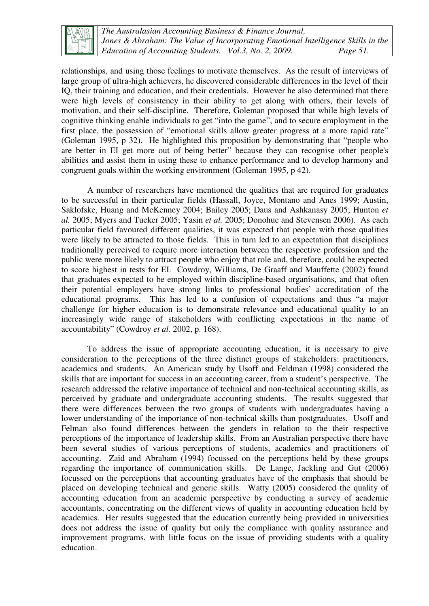

*The Australasian Accounting Business & Finance Journal, Jones & Abraham: The Value of Incorporating Emotional Intelligence Skills in the Education of Accounting Students. Vol.3, No. 2, 2009. Page 51.* 

relationships, and using those feelings to motivate themselves. As the result of interviews of large group of ultra-high achievers, he discovered considerable differences in the level of their IQ, their training and education, and their credentials. However he also determined that there were high levels of consistency in their ability to get along with others, their levels of motivation, and their self-discipline. Therefore, Goleman proposed that while high levels of cognitive thinking enable individuals to get "into the game", and to secure employment in the first place, the possession of "emotional skills allow greater progress at a more rapid rate" (Goleman 1995, p 32). He highlighted this proposition by demonstrating that "people who are better in EI get more out of being better" because they can recognise other people's abilities and assist them in using these to enhance performance and to develop harmony and congruent goals within the working environment (Goleman 1995, p 42).

A number of researchers have mentioned the qualities that are required for graduates to be successful in their particular fields (Hassall, Joyce, Montano and Anes 1999; Austin, Saklofske, Huang and McKenney 2004; Bailey 2005; Daus and Ashkanasy 2005; Hunton *et al.* 2005; Myers and Tucker 2005; Yasin *et al.* 2005; Donohue and Stevensen 2006). As each particular field favoured different qualities, it was expected that people with those qualities were likely to be attracted to those fields. This in turn led to an expectation that disciplines traditionally perceived to require more interaction between the respective profession and the public were more likely to attract people who enjoy that role and, therefore, could be expected to score highest in tests for EI. Cowdroy, Williams, De Graaff and Mauffette (2002) found that graduates expected to be employed within discipline-based organisations, and that often their potential employers have strong links to professional bodies' accreditation of the educational programs. This has led to a confusion of expectations and thus "a major challenge for higher education is to demonstrate relevance and educational quality to an increasingly wide range of stakeholders with conflicting expectations in the name of accountability" (Cowdroy *et al.* 2002, p. 168).

To address the issue of appropriate accounting education, it is necessary to give consideration to the perceptions of the three distinct groups of stakeholders: practitioners, academics and students. An American study by Usoff and Feldman (1998) considered the skills that are important for success in an accounting career, from a student's perspective. The research addressed the relative importance of technical and non-technical accounting skills, as perceived by graduate and undergraduate accounting students. The results suggested that there were differences between the two groups of students with undergraduates having a lower understanding of the importance of non-technical skills than postgraduates. Usoff and Felman also found differences between the genders in relation to the their respective perceptions of the importance of leadership skills. From an Australian perspective there have been several studies of various perceptions of students, academics and practitioners of accounting. Zaid and Abraham (1994) focussed on the perceptions held by these groups regarding the importance of communication skills. De Lange, Jackling and Gut (2006) focussed on the perceptions that accounting graduates have of the emphasis that should be placed on developing technical and generic skills. Watty (2005) considered the quality of accounting education from an academic perspective by conducting a survey of academic accountants, concentrating on the different views of quality in accounting education held by academics. Her results suggested that the education currently being provided in universities does not address the issue of quality but only the compliance with quality assurance and improvement programs, with little focus on the issue of providing students with a quality education.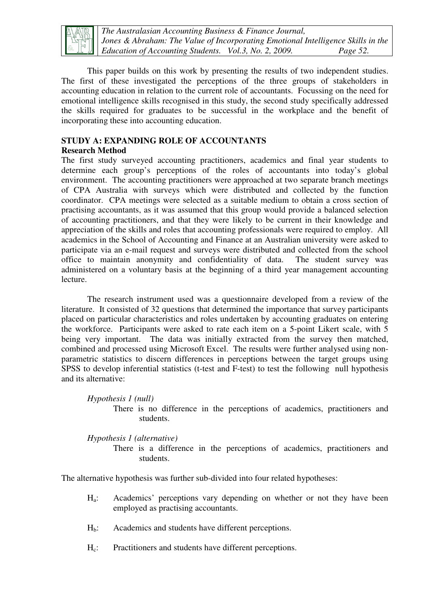

*The Australasian Accounting Business & Finance Journal, Jones & Abraham: The Value of Incorporating Emotional Intelligence Skills in the Education of Accounting Students. Vol.3, No. 2, 2009. Page 52.* 

This paper builds on this work by presenting the results of two independent studies. The first of these investigated the perceptions of the three groups of stakeholders in accounting education in relation to the current role of accountants. Focussing on the need for emotional intelligence skills recognised in this study, the second study specifically addressed the skills required for graduates to be successful in the workplace and the benefit of incorporating these into accounting education.

## **STUDY A: EXPANDING ROLE OF ACCOUNTANTS**

## **Research Method**

The first study surveyed accounting practitioners, academics and final year students to determine each group's perceptions of the roles of accountants into today's global environment. The accounting practitioners were approached at two separate branch meetings of CPA Australia with surveys which were distributed and collected by the function coordinator. CPA meetings were selected as a suitable medium to obtain a cross section of practising accountants, as it was assumed that this group would provide a balanced selection of accounting practitioners, and that they were likely to be current in their knowledge and appreciation of the skills and roles that accounting professionals were required to employ. All academics in the School of Accounting and Finance at an Australian university were asked to participate via an e-mail request and surveys were distributed and collected from the school office to maintain anonymity and confidentiality of data. The student survey was administered on a voluntary basis at the beginning of a third year management accounting lecture.

The research instrument used was a questionnaire developed from a review of the literature. It consisted of 32 questions that determined the importance that survey participants placed on particular characteristics and roles undertaken by accounting graduates on entering the workforce. Participants were asked to rate each item on a 5-point Likert scale, with 5 being very important. The data was initially extracted from the survey then matched, combined and processed using Microsoft Excel. The results were further analysed using nonparametric statistics to discern differences in perceptions between the target groups using SPSS to develop inferential statistics (t-test and F-test) to test the following null hypothesis and its alternative:

### *Hypothesis 1 (null)*

There is no difference in the perceptions of academics, practitioners and students.

### *Hypothesis 1 (alternative)*

There is a difference in the perceptions of academics, practitioners and students.

The alternative hypothesis was further sub-divided into four related hypotheses:

- Ha: Academics' perceptions vary depending on whether or not they have been employed as practising accountants.
- $H<sub>b</sub>$ : Academics and students have different perceptions.
- Hc: Practitioners and students have different perceptions.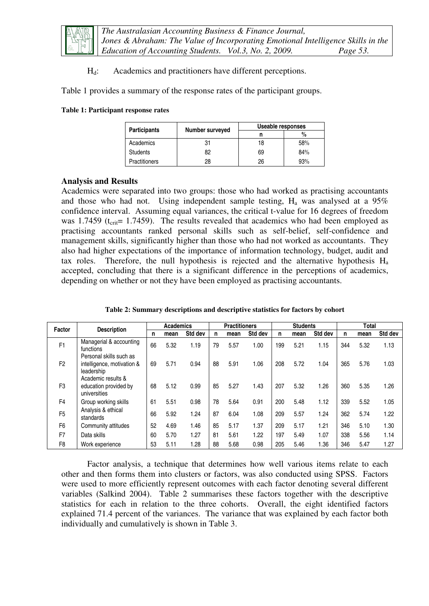

 $H_d$ : Academics and practitioners have different perceptions.

Table 1 provides a summary of the response rates of the participant groups.

#### **Table 1: Participant response rates**

| <b>Participants</b>  | Number surveyed | Useable responses |      |  |  |
|----------------------|-----------------|-------------------|------|--|--|
|                      |                 |                   | $\%$ |  |  |
| Academics            | 31              | 18                | 58%  |  |  |
| <b>Students</b>      | 82              | 69                | 84%  |  |  |
| <b>Practitioners</b> | 28              | 26                | 93%  |  |  |

#### **Analysis and Results**

Academics were separated into two groups: those who had worked as practising accountants and those who had not. Using independent sample testing,  $H_a$  was analysed at a 95% confidence interval. Assuming equal variances, the critical t-value for 16 degrees of freedom was 1.7459 ( $t_{\text{crit}}$ = 1.7459). The results revealed that academics who had been employed as practising accountants ranked personal skills such as self-belief, self-confidence and management skills, significantly higher than those who had not worked as accountants. They also had higher expectations of the importance of information technology, budget, audit and tax roles. Therefore, the null hypothesis is rejected and the alternative hypothesis  $H_a$ accepted, concluding that there is a significant difference in the perceptions of academics, depending on whether or not they have been employed as practising accountants.

| Factor         | <b>Description</b>                                                  |    | <b>Academics</b> |         |    | <b>Practitioners</b> |         |     | <b>Students</b> |         |     | Total |         |  |
|----------------|---------------------------------------------------------------------|----|------------------|---------|----|----------------------|---------|-----|-----------------|---------|-----|-------|---------|--|
|                |                                                                     | n  | mean             | Std dev | n  | mean                 | Std dev | n   | mean            | Std dev | n   | mean  | Std dev |  |
| F <sub>1</sub> | Managerial & accounting<br>functions                                | 66 | 5.32             | 1.19    | 79 | 5.57                 | 1.00    | 199 | 5.21            | 1.15    | 344 | 5.32  | 1.13    |  |
| F <sub>2</sub> | Personal skills such as<br>intelligence, motivation &<br>leadership | 69 | 5.71             | 0.94    | 88 | 5.91                 | 1.06    | 208 | 5.72            | 1.04    | 365 | 5.76  | 1.03    |  |
| F <sub>3</sub> | Academic results &<br>education provided by<br>universities         | 68 | 5.12             | 0.99    | 85 | 5.27                 | 1.43    | 207 | 5.32            | 1.26    | 360 | 5.35  | 1.26    |  |
| F <sub>4</sub> | Group working skills                                                | 61 | 5.51             | 0.98    | 78 | 5.64                 | 0.91    | 200 | 5.48            | 1.12    | 339 | 5.52  | 1.05    |  |
| F <sub>5</sub> | Analysis & ethical<br>standards                                     | 66 | 5.92             | 1.24    | 87 | 6.04                 | 1.08    | 209 | 5.57            | 1.24    | 362 | 5.74  | 1.22    |  |
| F <sub>6</sub> | Community attitudes                                                 | 52 | 4.69             | 1.46    | 85 | 5.17                 | 1.37    | 209 | 5.17            | 1.21    | 346 | 5.10  | 1.30    |  |
| F7             | Data skills                                                         | 60 | 5.70             | 1.27    | 81 | 5.61                 | 1.22    | 197 | 5.49            | 1.07    | 338 | 5.56  | 1.14    |  |
| F <sub>8</sub> | Work experience                                                     | 53 | 5.11             | 1.28    | 88 | 5.68                 | 0.98    | 205 | 5.46            | 1.36    | 346 | 5.47  | 1.27    |  |

**Table 2: Summary descriptions and descriptive statistics for factors by cohort** 

Factor analysis, a technique that determines how well various items relate to each other and then forms them into clusters or factors, was also conducted using SPSS. Factors were used to more efficiently represent outcomes with each factor denoting several different variables (Salkind 2004). Table 2 summarises these factors together with the descriptive statistics for each in relation to the three cohorts. Overall, the eight identified factors explained 71.4 percent of the variances. The variance that was explained by each factor both individually and cumulatively is shown in Table 3.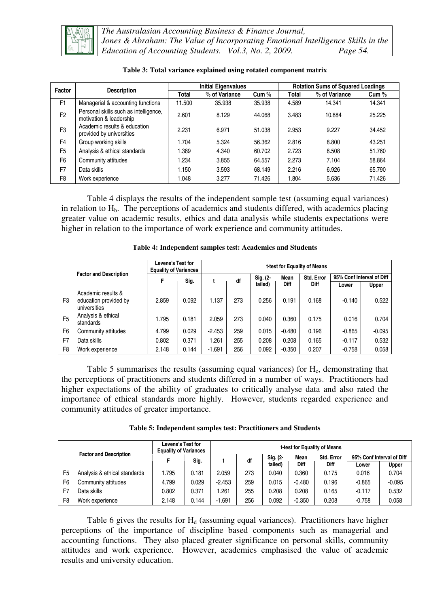

*The Australasian Accounting Business & Finance Journal, Jones & Abraham: The Value of Incorporating Emotional Intelligence Skills in the Education of Accounting Students. Vol.3, No. 2, 2009. Page 54.* 

| Factor         | <b>Description</b>                                               |        | <b>Initial Eigenvalues</b> |        |              | <b>Rotation Sums of Squared Loadings</b> |        |
|----------------|------------------------------------------------------------------|--------|----------------------------|--------|--------------|------------------------------------------|--------|
|                |                                                                  | Total  | % of Variance              | Cum %  | <b>Total</b> | % of Variance                            | Cum %  |
| F <sub>1</sub> | Managerial & accounting functions                                | 11.500 | 35.938                     | 35.938 | 4.589        | 14.341                                   | 14.341 |
| F <sub>2</sub> | Personal skills such as intelligence,<br>motivation & leadership | 2.601  | 8.129                      | 44.068 | 3.483        | 10.884                                   | 25.225 |
| F <sub>3</sub> | Academic results & education<br>provided by universities         | 2.231  | 6.971                      | 51.038 | 2.953        | 9.227                                    | 34.452 |
| F <sub>4</sub> | Group working skills                                             | 1.704  | 5.324                      | 56.362 | 2.816        | 8.800                                    | 43.251 |
| F <sub>5</sub> | Analysis & ethical standards                                     | 1.389  | 4.340                      | 60.702 | 2.723        | 8.508                                    | 51.760 |
| F <sub>6</sub> | Community attitudes                                              | 1.234  | 3.855                      | 64.557 | 2.273        | 7.104                                    | 58.864 |
| F <sub>7</sub> | Data skills                                                      | 1.150  | 3.593                      | 68.149 | 2.216        | 6.926                                    | 65.790 |
| F <sub>8</sub> | Work experience                                                  | 1.048  | 3.277                      | 71.426 | 1.804        | 5.636                                    | 71.426 |

**Table 3: Total variance explained using rotated component matrix** 

Table 4 displays the results of the independent sample test (assuming equal variances) in relation to  $H<sub>b</sub>$ . The perceptions of academics and students differed, with academics placing greater value on academic results, ethics and data analysis while students expectations were higher in relation to the importance of work experience and community attitudes.

|                |                                                             | Levene's Test for<br><b>Equality of Variances</b> |       | t-test for Equality of Means |     |          |          |            |                           |          |  |
|----------------|-------------------------------------------------------------|---------------------------------------------------|-------|------------------------------|-----|----------|----------|------------|---------------------------|----------|--|
|                | <b>Factor and Description</b>                               |                                                   | Sig.  |                              | df  | Sig. (2- | Mean     | Std. Error | 95% Conf Interval of Diff |          |  |
|                |                                                             |                                                   |       |                              |     | tailed)  | Diff     | Diff       | Lower                     | Upper    |  |
| F <sub>3</sub> | Academic results &<br>education provided by<br>universities | 2.859                                             | 0.092 | 1.137                        | 273 | 0.256    | 0.191    | 0.168      | $-0.140$                  | 0.522    |  |
| F <sub>5</sub> | Analysis & ethical<br>standards                             | 1.795                                             | 0.181 | 2.059                        | 273 | 0.040    | 0.360    | 0.175      | 0.016                     | 0.704    |  |
| F <sub>6</sub> | Community attitudes                                         | 4.799                                             | 0.029 | $-2.453$                     | 259 | 0.015    | $-0.480$ | 0.196      | $-0.865$                  | $-0.095$ |  |
| F7             | Data skills                                                 | 0.802                                             | 0.371 | 1.261                        | 255 | 0.208    | 0.208    | 0.165      | $-0.117$                  | 0.532    |  |
| F <sub>8</sub> | Work experience                                             | 2.148                                             | 0.144 | $-1.691$                     | 256 | 0.092    | $-0.350$ | 0.207      | $-0.758$                  | 0.058    |  |

**Table 4: Independent samples test: Academics and Students** 

Table 5 summarises the results (assuming equal variances) for H<sub>c</sub>, demonstrating that the perceptions of practitioners and students differed in a number of ways. Practitioners had higher expectations of the ability of graduates to critically analyse data and also rated the importance of ethical standards more highly. However, students regarded experience and community attitudes of greater importance.

|  |  |  | Table 5: Independent samples test: Practitioners and Students |  |
|--|--|--|---------------------------------------------------------------|--|
|--|--|--|---------------------------------------------------------------|--|

|                               |                              | Levene's Test for<br><b>Equality of Variances</b> |       | t-test for Equality of Means |     |          |             |            |                           |          |  |
|-------------------------------|------------------------------|---------------------------------------------------|-------|------------------------------|-----|----------|-------------|------------|---------------------------|----------|--|
| <b>Factor and Description</b> |                              |                                                   | Sig.  |                              | df  | Sig. (2- | Mean        | Std. Error | 95% Conf Interval of Diff |          |  |
|                               |                              |                                                   |       |                              |     | tailed)  | <b>Diff</b> | Diff       | Lower                     | Upper    |  |
| F <sub>5</sub>                | Analysis & ethical standards | .795                                              | 0.181 | 2.059                        | 273 | 0.040    | 0.360       | 0.175      | 0.016                     | 0.704    |  |
| F6                            | Community attitudes          | 4.799                                             | 0.029 | $-2.453$                     | 259 | 0.015    | $-0.480$    | 0.196      | $-0.865$                  | $-0.095$ |  |
| F7                            | Data skills                  | 0.802                                             | 0.371 | l.261                        | 255 | 0.208    | 0.208       | 0.165      | $-0.117$                  | 0.532    |  |
| F <sub>8</sub>                | Work experience              | 2.148                                             | 0.144 | $-1.691$                     | 256 | 0.092    | $-0.350$    | 0.208      | $-0.758$                  | 0.058    |  |

Table 6 gives the results for  $H_d$  (assuming equal variances). Practitioners have higher perceptions of the importance of discipline based components such as managerial and accounting functions. They also placed greater significance on personal skills, community attitudes and work experience. However, academics emphasised the value of academic results and university education.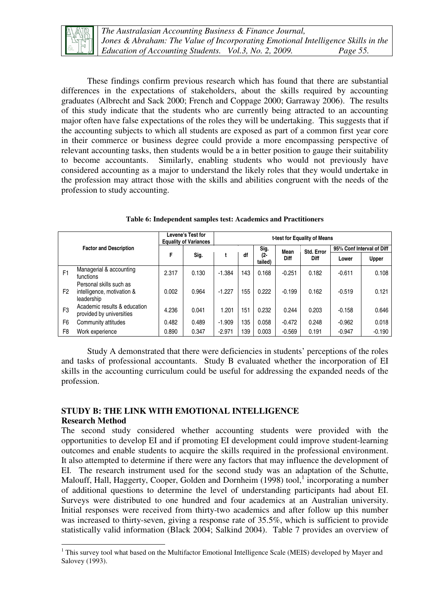

 $\overline{a}$ 

These findings confirm previous research which has found that there are substantial differences in the expectations of stakeholders, about the skills required by accounting graduates (Albrecht and Sack 2000; French and Coppage 2000; Garraway 2006). The results of this study indicate that the students who are currently being attracted to an accounting major often have false expectations of the roles they will be undertaking. This suggests that if the accounting subjects to which all students are exposed as part of a common first year core in their commerce or business degree could provide a more encompassing perspective of relevant accounting tasks, then students would be a in better position to gauge their suitability to become accountants. Similarly, enabling students who would not previously have considered accounting as a major to understand the likely roles that they would undertake in the profession may attract those with the skills and abilities congruent with the needs of the profession to study accounting.

|                |                                                                     | Levene's Test for<br><b>Equality of Variances</b> |       |          |                              |       |          | t-test for Equality of Means |          |                           |  |  |  |
|----------------|---------------------------------------------------------------------|---------------------------------------------------|-------|----------|------------------------------|-------|----------|------------------------------|----------|---------------------------|--|--|--|
|                | <b>Factor and Description</b>                                       |                                                   |       |          |                              | Sig.  | Mean     | Std. Error                   |          | 95% Conf Interval of Diff |  |  |  |
|                |                                                                     | F                                                 | Sig.  |          | df<br>(2-<br>Diff<br>tailed) |       |          | Diff                         | Lower    | Upper                     |  |  |  |
| F <sub>1</sub> | Managerial & accounting<br>functions                                | 2.317                                             | 0.130 | $-1.384$ | 143                          | 0.168 | $-0.251$ | 0.182                        | $-0.611$ | 0.108                     |  |  |  |
| F <sub>2</sub> | Personal skills such as<br>intelligence, motivation &<br>leadership | 0.002                                             | 0.964 | $-1.227$ | 155                          | 0.222 | $-0.199$ | 0.162                        | $-0.519$ | 0.121                     |  |  |  |
| F <sub>3</sub> | Academic results & education<br>provided by universities            | 4.236                                             | 0.041 | 1.201    | 151                          | 0.232 | 0.244    | 0.203                        | $-0.158$ | 0.646                     |  |  |  |
| F <sub>6</sub> | Community attitudes                                                 | 0.482                                             | 0.489 | $-1.909$ | 135                          | 0.058 | $-0.472$ | 0.248                        | $-0.962$ | 0.018                     |  |  |  |
| F8             | Work experience                                                     | 0.890                                             | 0.347 | $-2.971$ | 139                          | 0.003 | $-0.569$ | 0.191                        | $-0.947$ | $-0.190$                  |  |  |  |

**Table 6: Independent samples test: Academics and Practitioners** 

Study A demonstrated that there were deficiencies in students' perceptions of the roles and tasks of professional accountants. Study B evaluated whether the incorporation of EI skills in the accounting curriculum could be useful for addressing the expanded needs of the profession.

### **STUDY B: THE LINK WITH EMOTIONAL INTELLIGENCE Research Method**

The second study considered whether accounting students were provided with the opportunities to develop EI and if promoting EI development could improve student-learning outcomes and enable students to acquire the skills required in the professional environment. It also attempted to determine if there were any factors that may influence the development of EI. The research instrument used for the second study was an adaptation of the Schutte, Malouff, Hall, Haggerty, Cooper, Golden and Dornheim (1998) tool,  $1$  incorporating a number of additional questions to determine the level of understanding participants had about EI. Surveys were distributed to one hundred and four academics at an Australian university. Initial responses were received from thirty-two academics and after follow up this number was increased to thirty-seven, giving a response rate of 35.5%, which is sufficient to provide statistically valid information (Black 2004; Salkind 2004). Table 7 provides an overview of

<sup>&</sup>lt;sup>1</sup> This survey tool what based on the Multifactor Emotional Intelligence Scale (MEIS) developed by Mayer and Salovey (1993).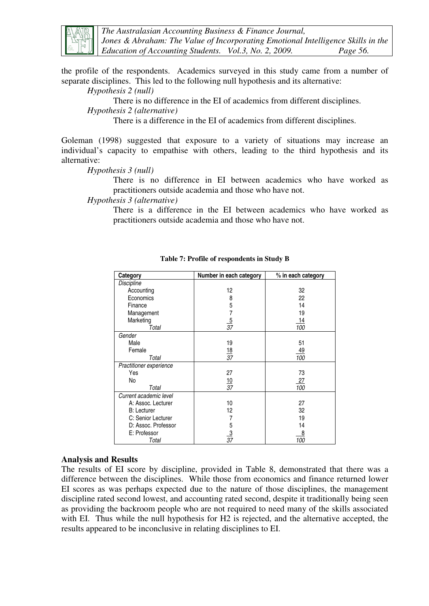

*The Australasian Accounting Business & Finance Journal, Jones & Abraham: The Value of Incorporating Emotional Intelligence Skills in the Education of Accounting Students. Vol.3, No. 2, 2009. Page 56.* 

the profile of the respondents. Academics surveyed in this study came from a number of separate disciplines. This led to the following null hypothesis and its alternative:

*Hypothesis 2 (null)* 

There is no difference in the EI of academics from different disciplines.

*Hypothesis 2 (alternative)* 

There is a difference in the EI of academics from different disciplines.

Goleman (1998) suggested that exposure to a variety of situations may increase an individual's capacity to empathise with others, leading to the third hypothesis and its alternative:

*Hypothesis 3 (null)* 

There is no difference in EI between academics who have worked as practitioners outside academia and those who have not.

*Hypothesis 3 (alternative)* 

There is a difference in the EI between academics who have worked as practitioners outside academia and those who have not.

| Category                | Number in each category | % in each category |
|-------------------------|-------------------------|--------------------|
| Discipline              |                         |                    |
| Accounting              | 12                      | 32                 |
| Economics               | 8                       | 22                 |
| Finance                 | 5                       | 14                 |
| Management              |                         | 19                 |
| Marketing               | $rac{5}{37}$            | 14                 |
| Total                   |                         | 100                |
| Gender                  |                         |                    |
| Male                    | 19                      | 51                 |
| Female                  | $\frac{18}{37}$         | <u>49</u>          |
| Total                   |                         | 100                |
| Practitioner experience |                         |                    |
| Yes                     | 27                      | 73                 |
| No                      | $\frac{10}{37}$         | <u> 27</u>         |
| Total                   |                         | 100                |
| Current academic level  |                         |                    |
| A: Assoc. Lecturer      | 10                      | 27                 |
| <b>B:</b> Lecturer      | 12                      | 32                 |
| C: Senior Lecturer      | 7                       | 19                 |
| D: Assoc. Professor     | 5                       | 14                 |
| E: Professor            | $\frac{3}{37}$          | 8                  |
| Total                   |                         | 100                |

**Table 7: Profile of respondents in Study B** 

#### **Analysis and Results**

The results of EI score by discipline, provided in Table 8, demonstrated that there was a difference between the disciplines. While those from economics and finance returned lower EI scores as was perhaps expected due to the nature of those disciplines, the management discipline rated second lowest, and accounting rated second, despite it traditionally being seen as providing the backroom people who are not required to need many of the skills associated with EI. Thus while the null hypothesis for H2 is rejected, and the alternative accepted, the results appeared to be inconclusive in relating disciplines to EI.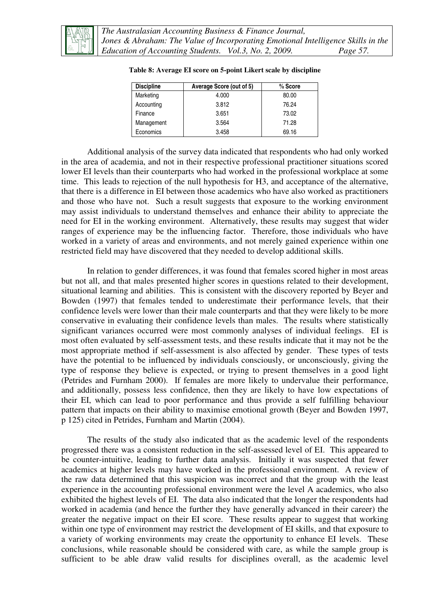

| <b>Discipline</b> | Average Score (out of 5) | $%$ Score |
|-------------------|--------------------------|-----------|
| Marketing         | 4.000                    | 80.00     |
| Accounting        | 3.812                    | 76.24     |
| Finance           | 3.651                    | 73.02     |
| Management        | 3.564                    | 71.28     |
| Economics         | 3.458                    | 69.16     |

| Table 8: Average EI score on 5-point Likert scale by discipline |  |  |  |
|-----------------------------------------------------------------|--|--|--|
|                                                                 |  |  |  |

Additional analysis of the survey data indicated that respondents who had only worked in the area of academia, and not in their respective professional practitioner situations scored lower EI levels than their counterparts who had worked in the professional workplace at some time. This leads to rejection of the null hypothesis for H3, and acceptance of the alternative, that there is a difference in EI between those academics who have also worked as practitioners and those who have not. Such a result suggests that exposure to the working environment may assist individuals to understand themselves and enhance their ability to appreciate the need for EI in the working environment. Alternatively, these results may suggest that wider ranges of experience may be the influencing factor. Therefore, those individuals who have worked in a variety of areas and environments, and not merely gained experience within one restricted field may have discovered that they needed to develop additional skills.

In relation to gender differences, it was found that females scored higher in most areas but not all, and that males presented higher scores in questions related to their development, situational learning and abilities. This is consistent with the discovery reported by Beyer and Bowden (1997) that females tended to underestimate their performance levels, that their confidence levels were lower than their male counterparts and that they were likely to be more conservative in evaluating their confidence levels than males. The results where statistically significant variances occurred were most commonly analyses of individual feelings. EI is most often evaluated by self-assessment tests, and these results indicate that it may not be the most appropriate method if self-assessment is also affected by gender. These types of tests have the potential to be influenced by individuals consciously, or unconsciously, giving the type of response they believe is expected, or trying to present themselves in a good light (Petrides and Furnham 2000). If females are more likely to undervalue their performance, and additionally, possess less confidence, then they are likely to have low expectations of their EI, which can lead to poor performance and thus provide a self fulfilling behaviour pattern that impacts on their ability to maximise emotional growth (Beyer and Bowden 1997, p 125) cited in Petrides, Furnham and Martin (2004).

The results of the study also indicated that as the academic level of the respondents progressed there was a consistent reduction in the self-assessed level of EI. This appeared to be counter-intuitive, leading to further data analysis. Initially it was suspected that fewer academics at higher levels may have worked in the professional environment. A review of the raw data determined that this suspicion was incorrect and that the group with the least experience in the accounting professional environment were the level A academics, who also exhibited the highest levels of EI. The data also indicated that the longer the respondents had worked in academia (and hence the further they have generally advanced in their career) the greater the negative impact on their EI score. These results appear to suggest that working within one type of environment may restrict the development of EI skills, and that exposure to a variety of working environments may create the opportunity to enhance EI levels. These conclusions, while reasonable should be considered with care, as while the sample group is sufficient to be able draw valid results for disciplines overall, as the academic level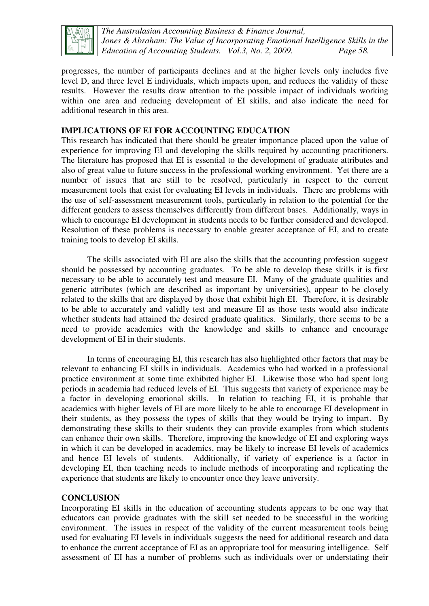

*The Australasian Accounting Business & Finance Journal, Jones & Abraham: The Value of Incorporating Emotional Intelligence Skills in the Education of Accounting Students. Vol.3, No. 2, 2009. Page 58.* 

progresses, the number of participants declines and at the higher levels only includes five level D, and three level E individuals, which impacts upon, and reduces the validity of these results. However the results draw attention to the possible impact of individuals working within one area and reducing development of EI skills, and also indicate the need for additional research in this area.

### **IMPLICATIONS OF EI FOR ACCOUNTING EDUCATION**

This research has indicated that there should be greater importance placed upon the value of experience for improving EI and developing the skills required by accounting practitioners. The literature has proposed that EI is essential to the development of graduate attributes and also of great value to future success in the professional working environment. Yet there are a number of issues that are still to be resolved, particularly in respect to the current measurement tools that exist for evaluating EI levels in individuals. There are problems with the use of self-assessment measurement tools, particularly in relation to the potential for the different genders to assess themselves differently from different bases. Additionally, ways in which to encourage EI development in students needs to be further considered and developed. Resolution of these problems is necessary to enable greater acceptance of EI, and to create training tools to develop EI skills.

The skills associated with EI are also the skills that the accounting profession suggest should be possessed by accounting graduates. To be able to develop these skills it is first necessary to be able to accurately test and measure EI. Many of the graduate qualities and generic attributes (which are described as important by universities), appear to be closely related to the skills that are displayed by those that exhibit high EI. Therefore, it is desirable to be able to accurately and validly test and measure EI as those tests would also indicate whether students had attained the desired graduate qualities. Similarly, there seems to be a need to provide academics with the knowledge and skills to enhance and encourage development of EI in their students.

In terms of encouraging EI, this research has also highlighted other factors that may be relevant to enhancing EI skills in individuals. Academics who had worked in a professional practice environment at some time exhibited higher EI. Likewise those who had spent long periods in academia had reduced levels of EI. This suggests that variety of experience may be a factor in developing emotional skills. In relation to teaching EI, it is probable that academics with higher levels of EI are more likely to be able to encourage EI development in their students, as they possess the types of skills that they would be trying to impart. By demonstrating these skills to their students they can provide examples from which students can enhance their own skills. Therefore, improving the knowledge of EI and exploring ways in which it can be developed in academics, may be likely to increase EI levels of academics and hence EI levels of students. Additionally, if variety of experience is a factor in developing EI, then teaching needs to include methods of incorporating and replicating the experience that students are likely to encounter once they leave university.

### **CONCLUSION**

Incorporating EI skills in the education of accounting students appears to be one way that educators can provide graduates with the skill set needed to be successful in the working environment. The issues in respect of the validity of the current measurement tools being used for evaluating EI levels in individuals suggests the need for additional research and data to enhance the current acceptance of EI as an appropriate tool for measuring intelligence. Self assessment of EI has a number of problems such as individuals over or understating their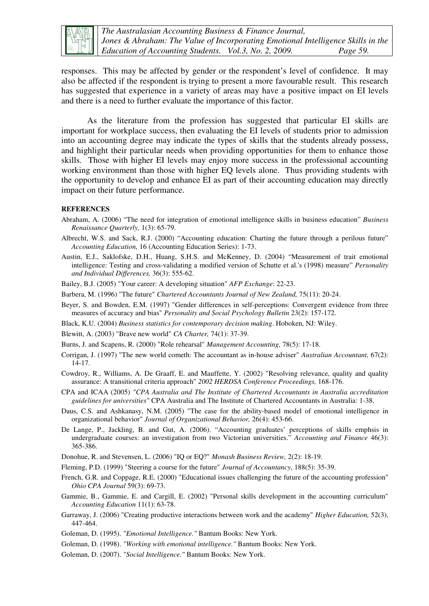

*The Australasian Accounting Business & Finance Journal, Jones & Abraham: The Value of Incorporating Emotional Intelligence Skills in the Education of Accounting Students. Vol.3, No. 2, 2009. Page 59.* 

responses. This may be affected by gender or the respondent's level of confidence. It may also be affected if the respondent is trying to present a more favourable result. This research has suggested that experience in a variety of areas may have a positive impact on EI levels and there is a need to further evaluate the importance of this factor.

As the literature from the profession has suggested that particular EI skills are important for workplace success, then evaluating the EI levels of students prior to admission into an accounting degree may indicate the types of skills that the students already possess, and highlight their particular needs when providing opportunities for them to enhance those skills. Those with higher EI levels may enjoy more success in the professional accounting working environment than those with higher EQ levels alone. Thus providing students with the opportunity to develop and enhance EI as part of their accounting education may directly impact on their future performance.

#### **REFERENCES**

- Abraham, A. (2006) "The need for integration of emotional intelligence skills in business education" *Business Renaissance Quarterly,* 1(3): 65-79.
- Albrecht, W.S. and Sack, R.J. (2000) "Accounting education: Charting the future through a perilous future" *Accounting Education,* 16 (Accounting Education Series): 1-73.
- Austin, E.J., Saklofske, D.H., Huang, S.H.S. and McKenney, D. (2004) "Measurement of trait emotional intelligence: Testing and cross-validating a modified version of Schutte et al.'s (1998) measure" *Personality and Individual Differences,* 36(3): 555-62.
- Bailey, B.J. (2005) "Your career: A developing situation" *AFP Exchange*: 22-23.
- Barbera, M. (1996) "The future" *Chartered Accountants Journal of New Zealand,* 75(11): 20-24.
- Beyer, S. and Bowden, E.M. (1997) "Gender differences in self-perceptions: Convergent evidence from three measures of accuracy and bias" *Personality and Social Psychology Bulletin* 23(2): 157-172.
- Black, K.U. (2004) *Business statistics for contemporary decision making*. Hoboken, NJ: Wiley.
- Blewitt, A. (2003) "Brave new world" *CA Charter,* 74(1): 37-39.
- Burns, J. and Scapens, R. (2000) "Role rehearsal" *Management Accounting,* 78(5): 17-18.
- Corrigan, J. (1997) "The new world cometh: The accountant as in-house adviser" *Australian Accountant,* 67(2): 14-17.
- Cowdroy, R., Williams, A. De Graaff, E. and Mauffette, Y. (2002) "Resolving relevance, quality and quality assurance: A transitional criteria approach" *2002 HERDSA Conference Proceedings,* 168-176.
- CPA and ICAA (2005) *"CPA Australia and The Institute of Chartered Accountants in Australia accreditation guidelines for universities"* CPA Australia and The Institute of Chartered Accountants in Australia: 1-38.
- Daus, C.S. and Ashkanasy, N.M. (2005) "The case for the ability-based model of emotional intelligence in organizational behavior" *Journal of Organizational Behavior,* 26(4): 453-66.
- De Lange, P., Jackling, B. and Gut, A. (2006). "Accounting graduates' perceptions of skills emphsis in undergraduate courses: an investigation from two Victorian universities." *Accounting and Finance* 46(3): 365-386.

Donohue, R. and Stevensen, L. (2006) "IQ or EQ?" *Monash Business Review,* 2(2): 18-19.

Fleming, P.D. (1999) "Steering a course for the future" *Journal of Accountancy,* 188(5): 35-39.

- French, G.R. and Coppage, R.E. (2000) "Educational issues challenging the future of the accounting profession" *Ohio CPA Journal* 59(3): 69-73.
- Gammie, B., Gammie, E. and Cargill, E. (2002) "Personal skills development in the accounting curriculum" *Accounting Education* 11(1): 63-78.
- Garraway, J. (2006) "Creating productive interactions between work and the academy" *Higher Education,* 52(3), 447-464.
- Goleman, D. (1995). *"Emotional Intelligence."* Bantum Books: New York.
- Goleman, D. (1998). *"Working with emotional intelligence."* Bantum Books: New York.
- Goleman, D. (2007). *"Social Intelligence."* Bantum Books: New York.